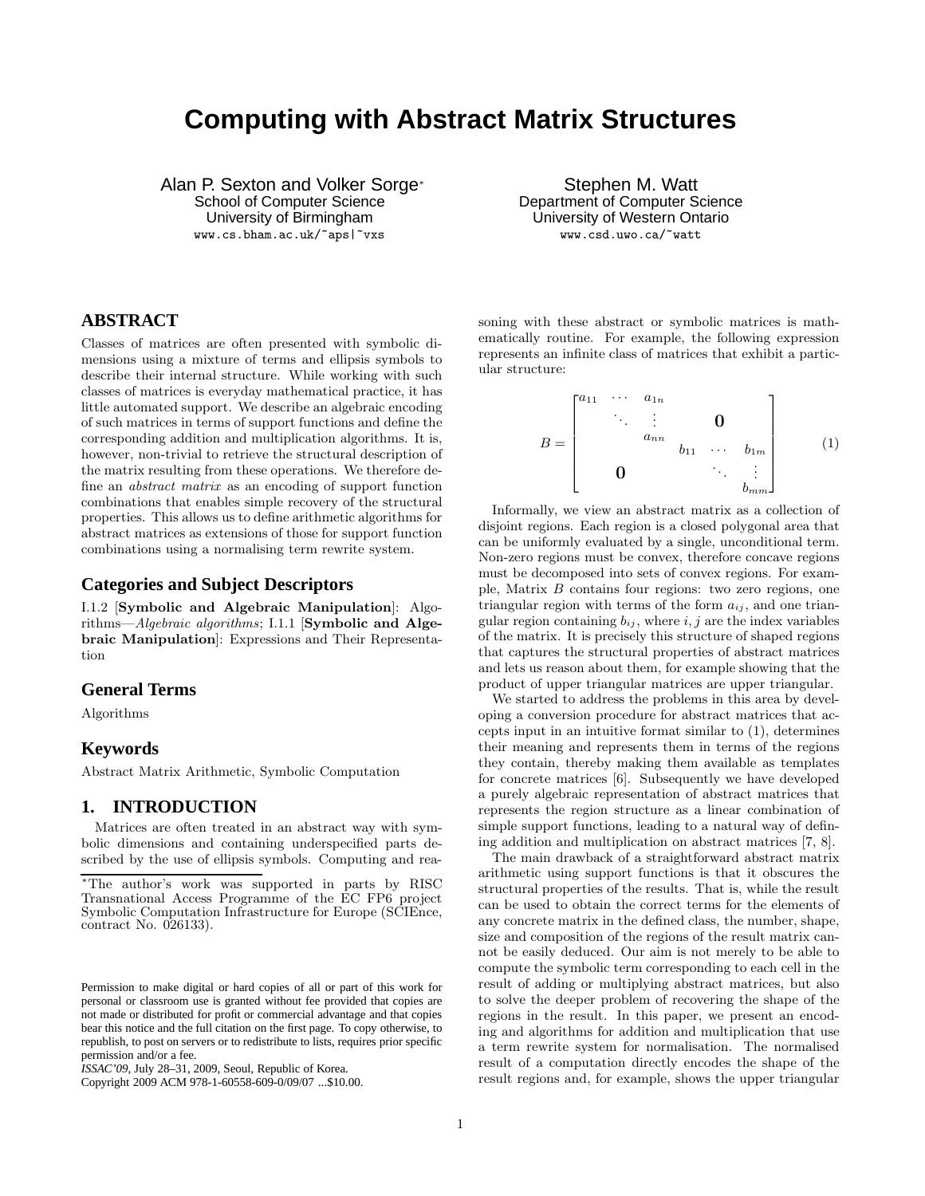# **Computing with Abstract Matrix Structures**

Alan P. Sexton and Volker Sorge<sup>∗</sup> School of Computer Science

University of Birmingham

www.cs.bham.ac.uk/~aps|~vxs

Stephen M. Watt Department of Computer Science University of Western Ontario www.csd.uwo.ca/~watt

# **ABSTRACT**

Classes of matrices are often presented with symbolic dimensions using a mixture of terms and ellipsis symbols to describe their internal structure. While working with such classes of matrices is everyday mathematical practice, it has little automated support. We describe an algebraic encoding of such matrices in terms of support functions and define the corresponding addition and multiplication algorithms. It is, however, non-trivial to retrieve the structural description of the matrix resulting from these operations. We therefore define an abstract matrix as an encoding of support function combinations that enables simple recovery of the structural properties. This allows us to define arithmetic algorithms for abstract matrices as extensions of those for support function combinations using a normalising term rewrite system.

### **Categories and Subject Descriptors**

I.1.2 [Symbolic and Algebraic Manipulation]: Algorithms—Algebraic algorithms; I.1.1 [Symbolic and Algebraic Manipulation]: Expressions and Their Representation

## **General Terms**

Algorithms

#### **Keywords**

Abstract Matrix Arithmetic, Symbolic Computation

## **1. INTRODUCTION**

Matrices are often treated in an abstract way with symbolic dimensions and containing underspecified parts described by the use of ellipsis symbols. Computing and rea-

Copyright 2009 ACM 978-1-60558-609-0/09/07 ...\$10.00.

soning with these abstract or symbolic matrices is mathematically routine. For example, the following expression represents an infinite class of matrices that exhibit a particular structure:

$$
B = \begin{bmatrix} a_{11} & \cdots & a_{1n} \\ & \ddots & \vdots & & \mathbf{0} \\ & & a_{nn} & & \\ & & & b_{11} & \cdots & b_{1m} \\ \mathbf{0} & & & & \ddots & \vdots \\ & & & & & b_{mm} \end{bmatrix}
$$
 (1)

Informally, we view an abstract matrix as a collection of disjoint regions. Each region is a closed polygonal area that can be uniformly evaluated by a single, unconditional term. Non-zero regions must be convex, therefore concave regions must be decomposed into sets of convex regions. For example, Matrix B contains four regions: two zero regions, one triangular region with terms of the form  $a_{ij}$ , and one triangular region containing  $b_{ij}$ , where  $i, j$  are the index variables of the matrix. It is precisely this structure of shaped regions that captures the structural properties of abstract matrices and lets us reason about them, for example showing that the product of upper triangular matrices are upper triangular.

We started to address the problems in this area by developing a conversion procedure for abstract matrices that accepts input in an intuitive format similar to (1), determines their meaning and represents them in terms of the regions they contain, thereby making them available as templates for concrete matrices [6]. Subsequently we have developed a purely algebraic representation of abstract matrices that represents the region structure as a linear combination of simple support functions, leading to a natural way of defining addition and multiplication on abstract matrices [7, 8].

The main drawback of a straightforward abstract matrix arithmetic using support functions is that it obscures the structural properties of the results. That is, while the result can be used to obtain the correct terms for the elements of any concrete matrix in the defined class, the number, shape, size and composition of the regions of the result matrix cannot be easily deduced. Our aim is not merely to be able to compute the symbolic term corresponding to each cell in the result of adding or multiplying abstract matrices, but also to solve the deeper problem of recovering the shape of the regions in the result. In this paper, we present an encoding and algorithms for addition and multiplication that use a term rewrite system for normalisation. The normalised result of a computation directly encodes the shape of the result regions and, for example, shows the upper triangular

<sup>∗</sup>The author's work was supported in parts by RISC Transnational Access Programme of the EC FP6 project Symbolic Computation Infrastructure for Europe (SCIEnce, contract No. 026133).

Permission to make digital or hard copies of all or part of this work for personal or classroom use is granted without fee provided that copies are not made or distributed for profit or commercial advantage and that copies bear this notice and the full citation on the first page. To copy otherwise, to republish, to post on servers or to redistribute to lists, requires prior specific permission and/or a fee.

*ISSAC'09,* July 28–31, 2009, Seoul, Republic of Korea.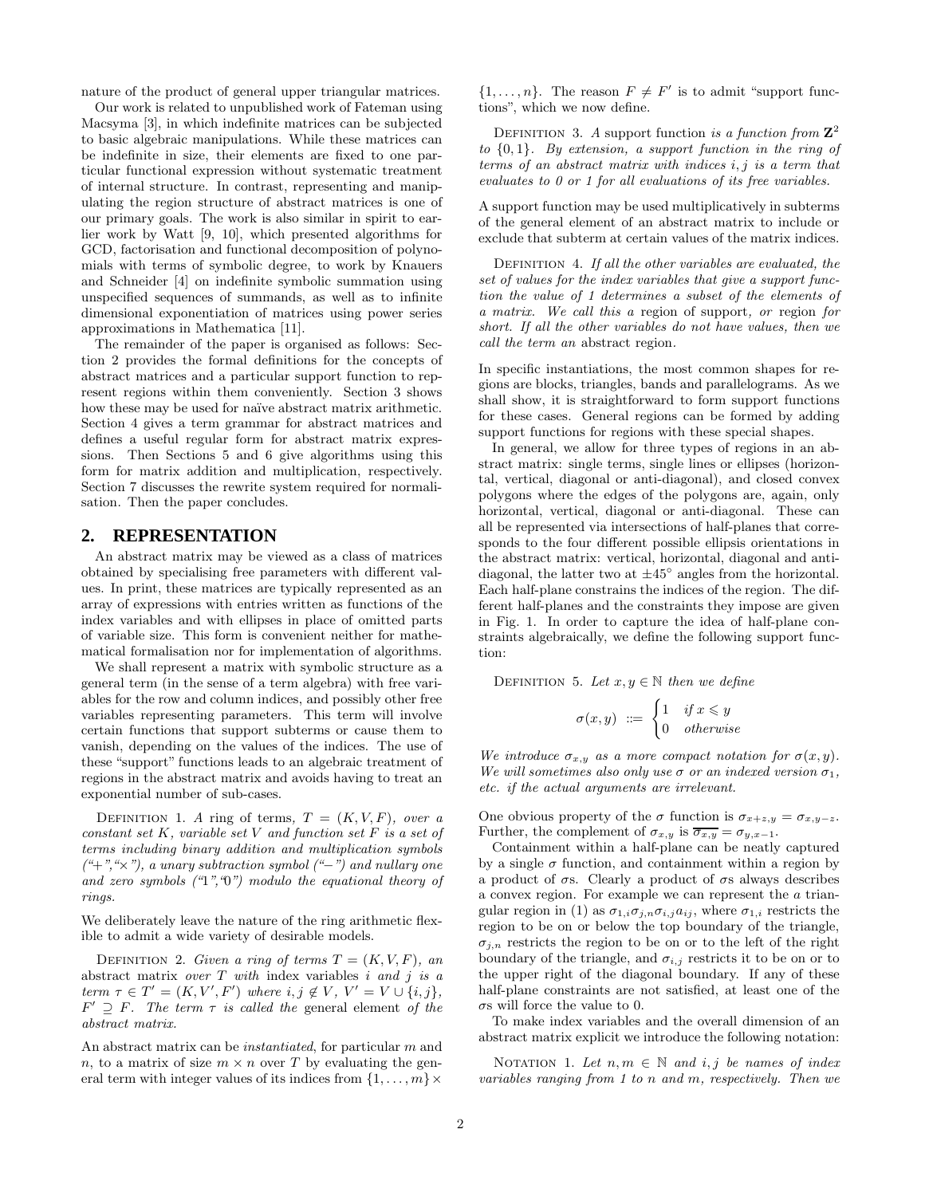nature of the product of general upper triangular matrices.

Our work is related to unpublished work of Fateman using Macsyma [3], in which indefinite matrices can be subjected to basic algebraic manipulations. While these matrices can be indefinite in size, their elements are fixed to one particular functional expression without systematic treatment of internal structure. In contrast, representing and manipulating the region structure of abstract matrices is one of our primary goals. The work is also similar in spirit to earlier work by Watt [9, 10], which presented algorithms for GCD, factorisation and functional decomposition of polynomials with terms of symbolic degree, to work by Knauers and Schneider [4] on indefinite symbolic summation using unspecified sequences of summands, as well as to infinite dimensional exponentiation of matrices using power series approximations in Mathematica [11].

The remainder of the paper is organised as follows: Section 2 provides the formal definitions for the concepts of abstract matrices and a particular support function to represent regions within them conveniently. Section 3 shows how these may be used for naïve abstract matrix arithmetic. Section 4 gives a term grammar for abstract matrices and defines a useful regular form for abstract matrix expressions. Then Sections 5 and 6 give algorithms using this form for matrix addition and multiplication, respectively. Section 7 discusses the rewrite system required for normalisation. Then the paper concludes.

## **2. REPRESENTATION**

An abstract matrix may be viewed as a class of matrices obtained by specialising free parameters with different values. In print, these matrices are typically represented as an array of expressions with entries written as functions of the index variables and with ellipses in place of omitted parts of variable size. This form is convenient neither for mathematical formalisation nor for implementation of algorithms.

We shall represent a matrix with symbolic structure as a general term (in the sense of a term algebra) with free variables for the row and column indices, and possibly other free variables representing parameters. This term will involve certain functions that support subterms or cause them to vanish, depending on the values of the indices. The use of these "support" functions leads to an algebraic treatment of regions in the abstract matrix and avoids having to treat an exponential number of sub-cases.

DEFINITION 1. A ring of terms,  $T = (K, V, F)$ , over a constant set  $K$ , variable set  $V$  and function set  $F$  is a set of terms including binary addition and multiplication symbols  $(*+", "x", a unary subtraction symbol ("−") and nullary one$ and zero symbols  $(4, 7, 0)$  modulo the equational theory of rings.

We deliberately leave the nature of the ring arithmetic flexible to admit a wide variety of desirable models.

DEFINITION 2. Given a ring of terms  $T = (K, V, F)$ , an abstract matrix over  $T$  with index variables i and j is a term  $\tau \in T' = (K, V', F')$  where  $i, j \notin V, V' = V \cup \{i, j\},\$  $F' \supseteq F$ . The term  $\tau$  is called the general element of the abstract matrix.

An abstract matrix can be instantiated, for particular m and n, to a matrix of size  $m \times n$  over T by evaluating the general term with integer values of its indices from  $\{1, \ldots, m\} \times$ 

 $\{1,\ldots,n\}$ . The reason  $F \neq F'$  is to admit "support functions", which we now define.

DEFINITION 3. A support function is a function from  $\mathbb{Z}^2$ to  $\{0,1\}$ . By extension, a support function in the ring of terms of an abstract matrix with indices i, j is a term that evaluates to 0 or 1 for all evaluations of its free variables.

A support function may be used multiplicatively in subterms of the general element of an abstract matrix to include or exclude that subterm at certain values of the matrix indices.

DEFINITION 4. If all the other variables are evaluated, the set of values for the index variables that give a support function the value of 1 determines a subset of the elements of a matrix. We call this a region of support, or region for short. If all the other variables do not have values, then we call the term an abstract region.

In specific instantiations, the most common shapes for regions are blocks, triangles, bands and parallelograms. As we shall show, it is straightforward to form support functions for these cases. General regions can be formed by adding support functions for regions with these special shapes.

In general, we allow for three types of regions in an abstract matrix: single terms, single lines or ellipses (horizontal, vertical, diagonal or anti-diagonal), and closed convex polygons where the edges of the polygons are, again, only horizontal, vertical, diagonal or anti-diagonal. These can all be represented via intersections of half-planes that corresponds to the four different possible ellipsis orientations in the abstract matrix: vertical, horizontal, diagonal and antidiagonal, the latter two at  $\pm 45^{\circ}$  angles from the horizontal. Each half-plane constrains the indices of the region. The different half-planes and the constraints they impose are given in Fig. 1. In order to capture the idea of half-plane constraints algebraically, we define the following support function:

DEFINITION 5. Let  $x, y \in \mathbb{N}$  then we define

$$
\sigma(x,y) \ ::= \ \begin{cases} 1 & \text{if } x \leq y \\ 0 & \text{otherwise} \end{cases}
$$

We introduce  $\sigma_{x,y}$  as a more compact notation for  $\sigma(x,y)$ . We will sometimes also only use  $\sigma$  or an indexed version  $\sigma_1$ , etc. if the actual arguments are irrelevant.

One obvious property of the  $\sigma$  function is  $\sigma_{x+z,y} = \sigma_{x,y-z}$ . Further, the complement of  $\sigma_{x,y}$  is  $\overline{\sigma_{x,y}} = \sigma_{y,x-1}$ .

Containment within a half-plane can be neatly captured by a single  $\sigma$  function, and containment within a region by a product of  $\sigma s$ . Clearly a product of  $\sigma s$  always describes a convex region. For example we can represent the a triangular region in (1) as  $\sigma_{1,i}\sigma_{j,n}\sigma_{i,j}a_{ij}$ , where  $\sigma_{1,i}$  restricts the region to be on or below the top boundary of the triangle,  $\sigma_{i,n}$  restricts the region to be on or to the left of the right boundary of the triangle, and  $\sigma_{i,j}$  restricts it to be on or to the upper right of the diagonal boundary. If any of these half-plane constraints are not satisfied, at least one of the  $\sigma$ s will force the value to 0.

To make index variables and the overall dimension of an abstract matrix explicit we introduce the following notation:

NOTATION 1. Let  $n, m \in \mathbb{N}$  and i, j be names of index variables ranging from 1 to n and m, respectively. Then we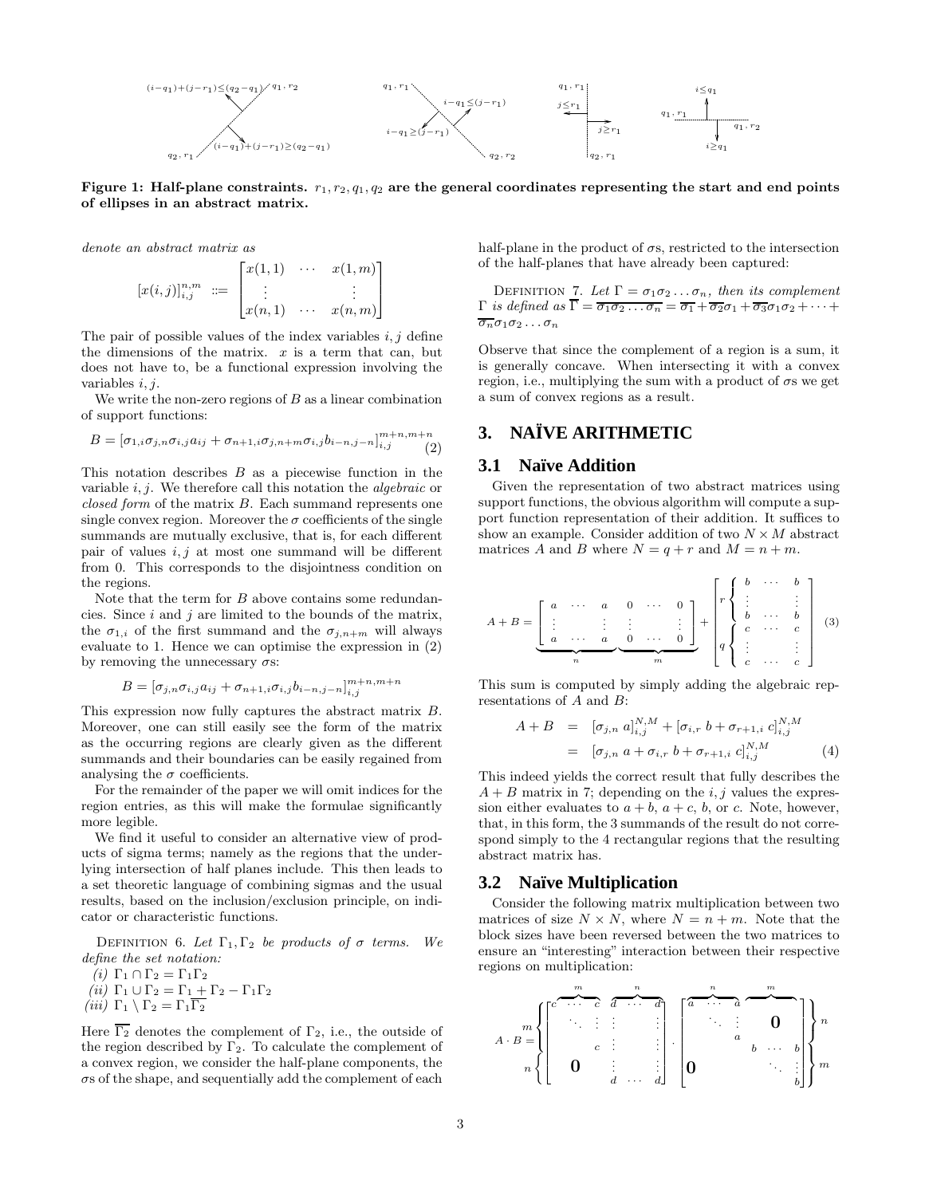

Figure 1: Half-plane constraints.  $r_1, r_2, q_1, q_2$  are the general coordinates representing the start and end points of ellipses in an abstract matrix.

denote an abstract matrix as

$$
[x(i,j)]_{i,j}^{n,m} := \begin{bmatrix} x(1,1) & \cdots & x(1,m) \\ \vdots & & \vdots \\ x(n,1) & \cdots & x(n,m) \end{bmatrix}
$$

The pair of possible values of the index variables  $i, j$  define the dimensions of the matrix.  $x$  is a term that can, but does not have to, be a functional expression involving the variables  $i, j$ .

We write the non-zero regions of  $B$  as a linear combination of support functions:

$$
B = [\sigma_{1,i}\sigma_{j,n}\sigma_{i,j}a_{ij} + \sigma_{n+1,i}\sigma_{j,n+m}\sigma_{i,j}b_{i-n,j-n}]_{i,j}^{m+n,m+n} (2)
$$

This notation describes  $B$  as a piecewise function in the variable  $i, j$ . We therefore call this notation the *algebraic* or closed form of the matrix B. Each summand represents one single convex region. Moreover the  $\sigma$  coefficients of the single summands are mutually exclusive, that is, for each different pair of values  $i, j$  at most one summand will be different from 0. This corresponds to the disjointness condition on the regions.

Note that the term for  $B$  above contains some redundancies. Since  $i$  and  $j$  are limited to the bounds of the matrix, the  $\sigma_{1,i}$  of the first summand and the  $\sigma_{j,n+m}$  will always evaluate to 1. Hence we can optimise the expression in (2) by removing the unnecessary  $\sigma s$ :

$$
B = [\sigma_{j,n}\sigma_{i,j}a_{ij} + \sigma_{n+1,i}\sigma_{i,j}b_{i-n,j-n}]_{i,j}^{m+n,m+n}
$$

This expression now fully captures the abstract matrix B. Moreover, one can still easily see the form of the matrix as the occurring regions are clearly given as the different summands and their boundaries can be easily regained from analysing the  $\sigma$  coefficients.

For the remainder of the paper we will omit indices for the region entries, as this will make the formulae significantly more legible.

We find it useful to consider an alternative view of products of sigma terms; namely as the regions that the underlying intersection of half planes include. This then leads to a set theoretic language of combining sigmas and the usual results, based on the inclusion/exclusion principle, on indicator or characteristic functions.

DEFINITION 6. Let  $\Gamma_1, \Gamma_2$  be products of  $\sigma$  terms. We define the set notation:

(i)  $\Gamma_1 \cap \Gamma_2 = \Gamma_1 \Gamma_2$ (ii)  $\Gamma_1 \cup \Gamma_2 = \Gamma_1 + \Gamma_2 - \Gamma_1 \Gamma_2$ 

(iii)  $\Gamma_1 \setminus \Gamma_2 = \Gamma_1 \Gamma_2$ 

Here  $\overline{\Gamma_2}$  denotes the complement of  $\Gamma_2$ , i.e., the outside of the region described by  $\Gamma_2$ . To calculate the complement of a convex region, we consider the half-plane components, the  $\sigma s$  of the shape, and sequentially add the complement of each

half-plane in the product of  $\sigma s$ , restricted to the intersection of the half-planes that have already been captured:

DEFINITION 7. Let  $\Gamma = \sigma_1 \sigma_2 \ldots \sigma_n$ , then its complement  $\Gamma$  is defined as  $\Gamma = \overline{\sigma_1 \sigma_2 \ldots \sigma_n} = \overline{\sigma_1} + \overline{\sigma_2} \sigma_1 + \overline{\sigma_3} \sigma_1 \sigma_2 + \cdots$  $\overline{\sigma_n}\sigma_1\sigma_2\ldots\sigma_n$ 

Observe that since the complement of a region is a sum, it is generally concave. When intersecting it with a convex region, i.e., multiplying the sum with a product of  $\sigma s$  we get a sum of convex regions as a result.

## **3. NAÏVE ARITHMETIC**

### **3.1 Naïve Addition**

Given the representation of two abstract matrices using support functions, the obvious algorithm will compute a support function representation of their addition. It suffices to show an example. Consider addition of two  $N \times M$  abstract matrices A and B where  $N = q + r$  and  $M = n + m$ .

A + B = 2 6 4 a · · · a . . . . . . a · · · a | {z } n 0 · · · 0 . . . . . . 0 · · · 0 3 7 5 | {z } m + 2 6 6 6 6 6 6 6 6 4 r 8 >< >: b · · · b . . . . . . b · · · b q 8 >< >: c · · · c . . . . . . c · · · c 3 7 7 7 7 7 7 7 7 5 (3)

This sum is computed by simply adding the algebraic representations of A and B:

$$
A + B = [\sigma_{j,n} a]_{i,j}^{N,M} + [\sigma_{i,r} b + \sigma_{r+1,i} c]_{i,j}^{N,M}
$$
  
=  $[\sigma_{j,n} a + \sigma_{i,r} b + \sigma_{r+1,i} c]_{i,j}^{N,M}$  (4)

This indeed yields the correct result that fully describes the  $A + B$  matrix in 7; depending on the *i*, *j* values the expression either evaluates to  $a + b$ ,  $a + c$ ,  $b$ , or c. Note, however, that, in this form, the 3 summands of the result do not correspond simply to the 4 rectangular regions that the resulting abstract matrix has.

#### **3.2 Naïve Multiplication**

Consider the following matrix multiplication between two matrices of size  $N \times N$ , where  $N = n + m$ . Note that the block sizes have been reversed between the two matrices to ensure an "interesting" interaction between their respective regions on multiplication:

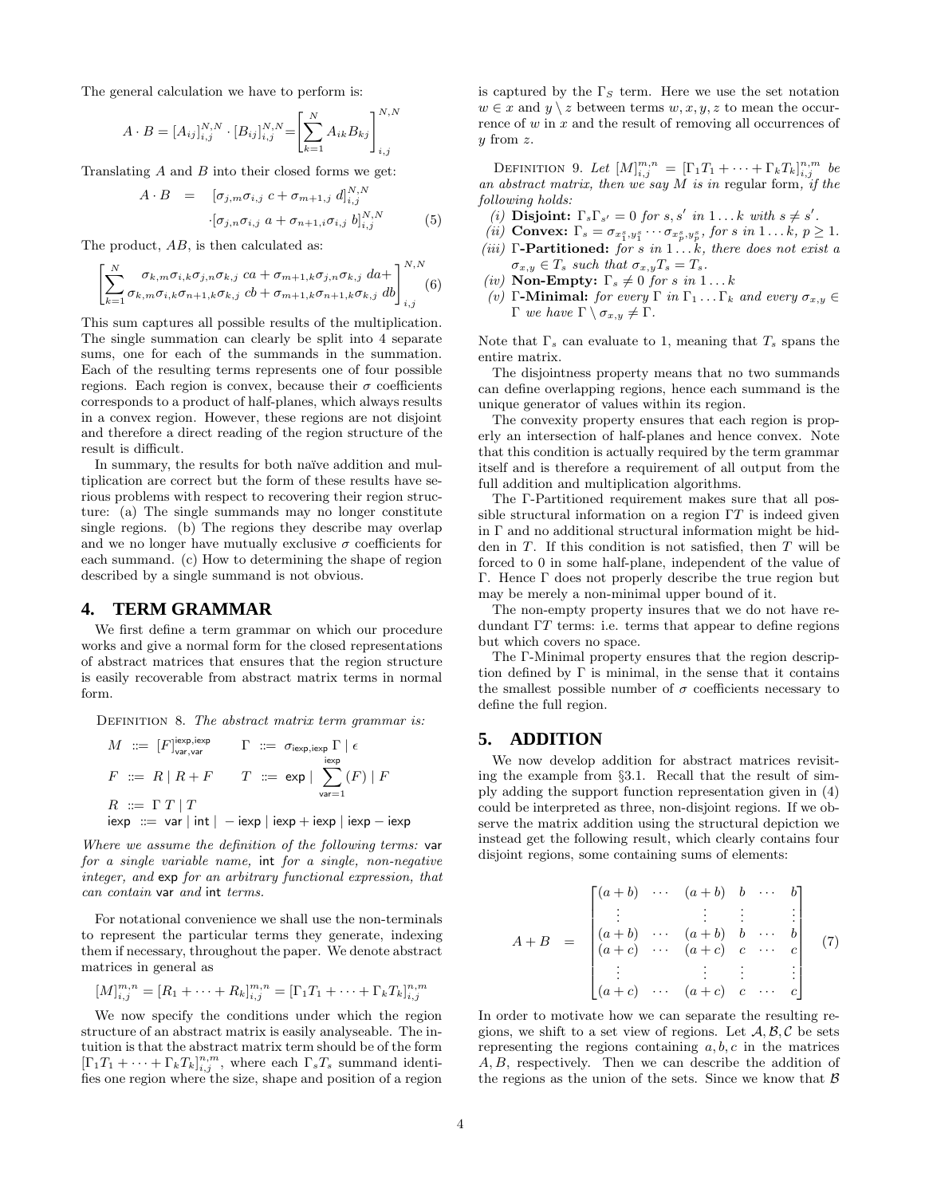The general calculation we have to perform is:

$$
A \cdot B = [A_{ij}]_{i,j}^{N,N} \cdot [B_{ij}]_{i,j}^{N,N} = \left[ \sum_{k=1}^{N} A_{ik} B_{kj} \right]_{i,j}^{N,N}
$$

Translating A and B into their closed forms we get:

$$
A \cdot B = [\sigma_{j,m} \sigma_{i,j} \ c + \sigma_{m+1,j} \ d]_{i,j}^{N,N}
$$

$$
\cdot [\sigma_{j,n} \sigma_{i,j} \ a + \sigma_{n+1,i} \sigma_{i,j} \ b]_{i,j}^{N,N} \tag{5}
$$

The product,  $AB$ , is then calculated as:

$$
\left[\sum_{k=1}^{N} \sigma_{k,m} \sigma_{i,k} \sigma_{j,n} \sigma_{k,j} ca + \sigma_{m+1,k} \sigma_{j,n} \sigma_{k,j} da + \right]_{i,j}^{N,N}
$$
\n
$$
(6)
$$

This sum captures all possible results of the multiplication. The single summation can clearly be split into 4 separate sums, one for each of the summands in the summation. Each of the resulting terms represents one of four possible regions. Each region is convex, because their  $\sigma$  coefficients corresponds to a product of half-planes, which always results in a convex region. However, these regions are not disjoint and therefore a direct reading of the region structure of the result is difficult.

In summary, the results for both naïve addition and multiplication are correct but the form of these results have serious problems with respect to recovering their region structure: (a) The single summands may no longer constitute single regions. (b) The regions they describe may overlap and we no longer have mutually exclusive  $\sigma$  coefficients for each summand. (c) How to determining the shape of region described by a single summand is not obvious.

#### **4. TERM GRAMMAR**

We first define a term grammar on which our procedure works and give a normal form for the closed representations of abstract matrices that ensures that the region structure is easily recoverable from abstract matrix terms in normal form.

DEFINITION 8. The abstract matrix term grammar is:

$$
M ::= [F]_{var,var}^{j \text{exp}, \text{iexp}} \qquad \Gamma ::= \sigma_{j \text{exp}, \text{iexp}} \Gamma \mid \epsilon
$$
  

$$
F ::= R \mid R + F \qquad T ::= \exp | \sum_{var=1}^{i \text{exp}} (F) \mid F
$$
  

$$
R ::= \Gamma T \mid T
$$
  

$$
i \text{exp} ::= \text{var} \mid \text{int} \mid -\text{iexp} \mid \text{iexp} + \text{iexp} \mid \text{iexp} - \text{iexp}
$$

Where we assume the definition of the following terms: var for a single variable name, int for a single, non-negative integer, and exp for an arbitrary functional expression, that can contain var and int terms.

For notational convenience we shall use the non-terminals to represent the particular terms they generate, indexing them if necessary, throughout the paper. We denote abstract matrices in general as

$$
[M]_{i,j}^{m,n} = [R_1 + \cdots + R_k]_{i,j}^{m,n} = [\Gamma_1 T_1 + \cdots + \Gamma_k T_k]_{i,j}^{n,m}
$$

We now specify the conditions under which the region structure of an abstract matrix is easily analyseable. The intuition is that the abstract matrix term should be of the form  $[\Gamma_1 T_1 + \cdots + \Gamma_k T_k]_{i,j}^{n,m}$ , where each  $\Gamma_s T_s$  summand identifies one region where the size, shape and position of a region is captured by the  $\Gamma<sub>S</sub>$  term. Here we use the set notation  $w \in x$  and  $y \setminus z$  between terms  $w, x, y, z$  to mean the occurrence of w in x and the result of removing all occurrences of  $y$  from  $z$ .

DEFINITION 9. Let  $[M]_{i,j}^{m,n} = [\Gamma_1 T_1 + \cdots + \Gamma_k T_k]_{i,j}^{n,m}$  be an abstract matrix, then we say  $M$  is in regular form, if the following holds:

- (i) **Disjoint:**  $\Gamma_s \Gamma_{s'} = 0$  for  $s, s'$  in  $1 \dots k$  with  $s \neq s'$ .
- (*ii*) **Convex:**  $\Gamma_s = \sigma_{x_1^s, y_1^s} \cdots \sigma_{x_p^s, y_p^s}$ , for s in  $1 \dots k, p \ge 1$ .
- (iii)  $\Gamma$ -Partitioned: for s in  $1 \ldots k$ , there does not exist a  $\sigma_{x,y} \in T_s$  such that  $\sigma_{x,y} T_s = T_s$ .
- (iv) Non-Empty:  $\Gamma_s \neq 0$  for s in  $1 \dots k$
- (v) Γ-Minimal: for every Γ in  $\Gamma_1 \dots \Gamma_k$  and every  $\sigma_{x,y} \in$ Γ we have  $\Gamma \setminus \sigma_{x,y} \neq \Gamma$ .

Note that  $\Gamma_s$  can evaluate to 1, meaning that  $T_s$  spans the entire matrix.

The disjointness property means that no two summands can define overlapping regions, hence each summand is the unique generator of values within its region.

The convexity property ensures that each region is properly an intersection of half-planes and hence convex. Note that this condition is actually required by the term grammar itself and is therefore a requirement of all output from the full addition and multiplication algorithms.

The Γ-Partitioned requirement makes sure that all possible structural information on a region  $\Gamma T$  is indeed given in  $\Gamma$  and no additional structural information might be hidden in  $T$ . If this condition is not satisfied, then  $T$  will be forced to 0 in some half-plane, independent of the value of Γ. Hence Γ does not properly describe the true region but may be merely a non-minimal upper bound of it.

The non-empty property insures that we do not have redundant ΓT terms: i.e. terms that appear to define regions but which covers no space.

The Γ-Minimal property ensures that the region description defined by  $\Gamma$  is minimal, in the sense that it contains the smallest possible number of  $\sigma$  coefficients necessary to define the full region.

#### **5. ADDITION**

We now develop addition for abstract matrices revisiting the example from §3.1. Recall that the result of simply adding the support function representation given in (4) could be interpreted as three, non-disjoint regions. If we observe the matrix addition using the structural depiction we instead get the following result, which clearly contains four disjoint regions, some containing sums of elements:

$$
A + B = \begin{bmatrix} (a+b) & \cdots & (a+b) & b & \cdots & b \\ \vdots & & \vdots & \vdots & & \vdots \\ (a+b) & \cdots & (a+b) & b & \cdots & b \\ (a+c) & \cdots & (a+c) & c & \cdots & c \\ \vdots & & \vdots & \vdots & & \vdots \\ (a+c) & \cdots & (a+c) & c & \cdots & c \end{bmatrix} (7)
$$

In order to motivate how we can separate the resulting regions, we shift to a set view of regions. Let  $A, B, C$  be sets representing the regions containing  $a, b, c$  in the matrices A, B, respectively. Then we can describe the addition of the regions as the union of the sets. Since we know that  $\beta$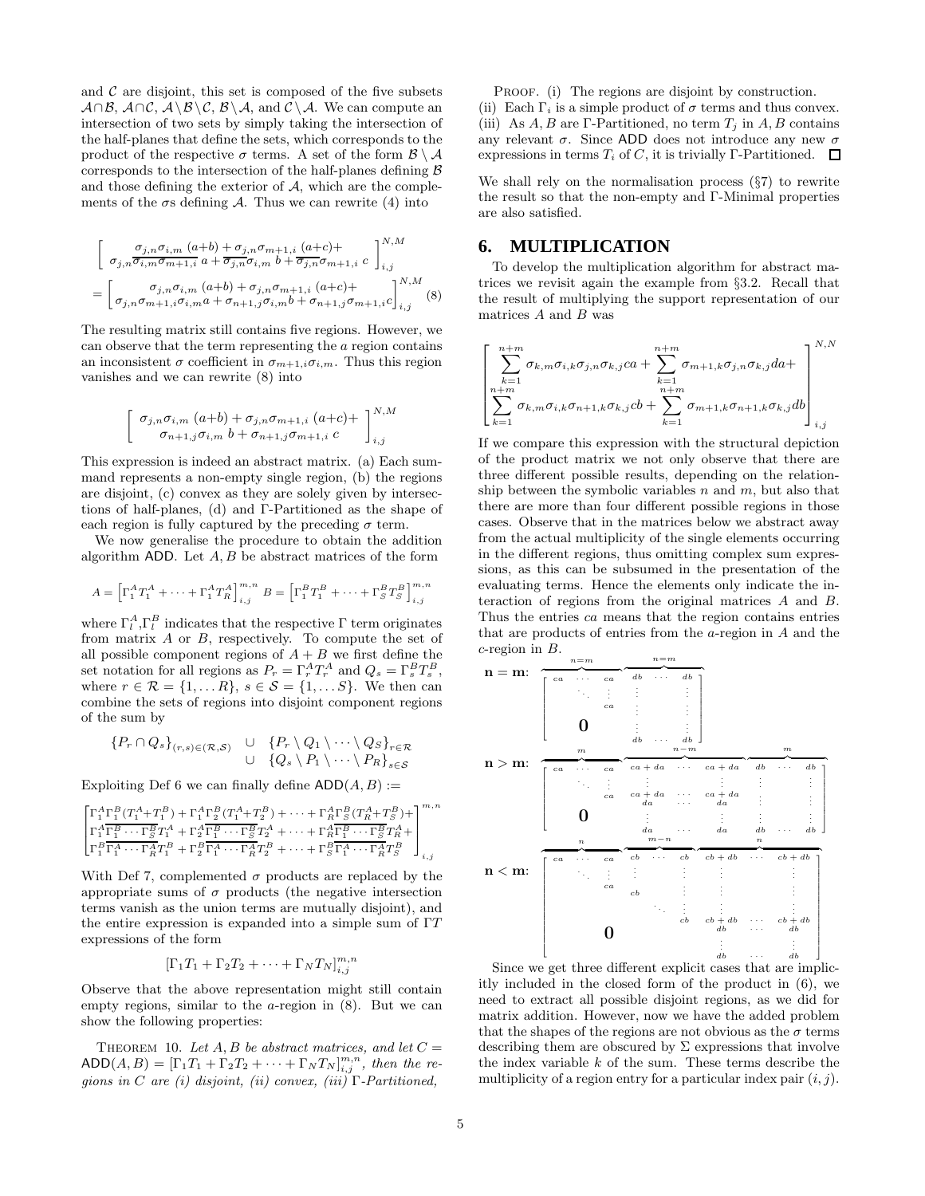and  $\mathcal C$  are disjoint, this set is composed of the five subsets  $A \cap B$ ,  $A \cap C$ ,  $A \setminus B \setminus C$ ,  $B \setminus A$ , and  $C \setminus A$ . We can compute an intersection of two sets by simply taking the intersection of the half-planes that define the sets, which corresponds to the product of the respective  $\sigma$  terms. A set of the form  $\mathcal{B} \setminus \mathcal{A}$ corresponds to the intersection of the half-planes defining  $\beta$ and those defining the exterior of  $A$ , which are the complements of the  $\sigma s$  defining A. Thus we can rewrite (4) into

$$
\begin{bmatrix}\n\sigma_{j,n}\sigma_{i,m} (a+b) + \sigma_{j,n}\sigma_{m+1,i} (a+c) + \\
\sigma_{j,n}\overline{\sigma_{i,m}\sigma_{m+1,i}} a + \overline{\sigma_{j,n}\sigma_{i,m}} b + \overline{\sigma_{j,n}\sigma_{m+1,i}} c\n\end{bmatrix}_{i,j}^{N,M}
$$
\n
$$
= \begin{bmatrix}\n\sigma_{j,n}\sigma_{i,m} (a+b) + \sigma_{j,n}\sigma_{m+1,i} (a+c) + \\
\sigma_{j,n}\sigma_{m+1,i}\sigma_{i,m} a + \sigma_{n+1,j}\sigma_{i,m} b + \sigma_{n+1,j}\sigma_{m+1,i} c\n\end{bmatrix}_{i,j}^{N,M}
$$
\n(8)

The resulting matrix still contains five regions. However, we can observe that the term representing the a region contains an inconsistent  $\sigma$  coefficient in  $\sigma_{m+1,i}\sigma_{i,m}$ . Thus this region vanishes and we can rewrite (8) into

$$
\begin{bmatrix}\n\sigma_{j,n}\sigma_{i,m} (a+b) + \sigma_{j,n}\sigma_{m+1,i} (a+c) + \sigma_{j,n}\sigma_{m+1,j}\sigma_{i,m} (a+c) + \sigma_{n+1,j}\sigma_{m+1,i} c\n\end{bmatrix}_{i,j}^{N,M}
$$

This expression is indeed an abstract matrix. (a) Each summand represents a non-empty single region, (b) the regions are disjoint, (c) convex as they are solely given by intersections of half-planes, (d) and Γ-Partitioned as the shape of each region is fully captured by the preceding  $\sigma$  term.

We now generalise the procedure to obtain the addition algorithm ADD. Let  $A, B$  be abstract matrices of the form

$$
A = \left[ \Gamma_1^A T_1^A + \dots + \Gamma_1^A T_R^A \right]_{i,j}^{m,n} B = \left[ \Gamma_1^B T_1^B + \dots + \Gamma_S^B T_S^B \right]_{i,j}^{m,n}
$$

where  $\Gamma_l^A$ ,  $\Gamma_l^B$  indicates that the respective  $\Gamma$  term originates from matrix  $A$  or  $B$ , respectively. To compute the set of all possible component regions of  $A + B$  we first define the set notation for all regions as  $P_r = \Gamma_r^A T_r^A$  and  $Q_s = \Gamma_s^B T_s^B$ , where  $r \in \mathcal{R} = \{1, \ldots R\}, s \in \mathcal{S} = \{1, \ldots S\}.$  We then can combine the sets of regions into disjoint component regions of the sum by

$$
\begin{array}{ccc}\n\{P_r \cap Q_s\}_{(r,s) \in (\mathcal{R},\mathcal{S})} & \cup & \{P_r \setminus Q_1 \setminus \cdots \setminus Q_S\}_{r \in \mathcal{R}} \\
& \cup & \{Q_s \setminus P_1 \setminus \cdots \setminus P_R\}_{s \in \mathcal{S}}\n\end{array}
$$

Exploiting Def 6 we can finally define  $ADD(A, B) :=$ 

$$
\begin{bmatrix} \Gamma_1^A \Gamma_1^B (T_1^A + T_1^B) + \Gamma_1^A \Gamma_2^B (T_1^A + T_2^B) + \cdots + \Gamma_R^A \Gamma_S^B (T_R^A + T_S^B) + \\ \Gamma_1^A \overline{\Gamma_1^B \cdots \Gamma_S^B} T_1^A + \Gamma_2^A \overline{\Gamma_1^B \cdots \Gamma_S^B} T_2^A + \cdots + \Gamma_R^A \overline{\Gamma_1^B \cdots \Gamma_S^B} T_R^A + \\ \Gamma_1^B \overline{\Gamma_1^A \cdots \Gamma_R^A} T_1^B + \Gamma_2^B \overline{\Gamma_1^A \cdots \Gamma_R^A} T_2^B + \cdots + \Gamma_S^B \overline{\Gamma_1^A \cdots \Gamma_R^A} T_S^B \end{bmatrix}_{i,j}
$$

With Def 7, complemented  $\sigma$  products are replaced by the appropriate sums of  $\sigma$  products (the negative intersection terms vanish as the union terms are mutually disjoint), and the entire expression is expanded into a simple sum of ΓT expressions of the form

$$
[\Gamma_1 T_1 + \Gamma_2 T_2 + \cdots + \Gamma_N T_N]_{i,j}^{m,n}
$$

Observe that the above representation might still contain empty regions, similar to the  $a$ -region in  $(8)$ . But we can show the following properties:

THEOREM 10. Let A, B be abstract matrices, and let  $C =$  $\mathsf{ADD}(A, B) = [\Gamma_1 T_1 + \Gamma_2 T_2 + \cdots + \Gamma_N T_N]_{i,j}^{m,n}$ , then the regions in C are (i) disjoint, (ii) convex, (iii)  $\Gamma$ -Partitioned,

PROOF. (i) The regions are disjoint by construction.

(ii) Each  $\Gamma_i$  is a simple product of  $\sigma$  terms and thus convex. (iii) As A, B are Γ-Partitioned, no term  $T_i$  in A, B contains any relevant  $\sigma$ . Since ADD does not introduce any new  $\sigma$ expressions in terms  $T_i$  of C, it is trivially Γ-Partitioned.  $\Box$ 

We shall rely on the normalisation process (§7) to rewrite the result so that the non-empty and Γ-Minimal properties are also satisfied.

## **6. MULTIPLICATION**

To develop the multiplication algorithm for abstract matrices we revisit again the example from §3.2. Recall that the result of multiplying the support representation of our matrices  $A$  and  $B$  was

$$
\left[\sum_{\substack{k=1\\n+m}}^{n+m} \sigma_{k,m} \sigma_{i,k} \sigma_{j,n} \sigma_{k,j} ca + \sum_{\substack{k=1\\n+m}}^{n+m} \sigma_{m+1,k} \sigma_{j,n} \sigma_{k,j} da + \left[\sum_{\substack{k=1\\n+m}}^{n+m} \sigma_{k,m} \sigma_{i,k} \sigma_{n+1,k} \sigma_{k,j} cb + \sum_{\substack{k=1\\n+m}}^{n+m} \sigma_{m+1,k} \sigma_{n+1,k} \sigma_{k,j} db\right]_{i,j}
$$

If we compare this expression with the structural depiction of the product matrix we not only observe that there are three different possible results, depending on the relationship between the symbolic variables  $n$  and  $m$ , but also that there are more than four different possible regions in those cases. Observe that in the matrices below we abstract away from the actual multiplicity of the single elements occurring in the different regions, thus omitting complex sum expressions, as this can be subsumed in the presentation of the evaluating terms. Hence the elements only indicate the interaction of regions from the original matrices A and B. Thus the entries ca means that the region contains entries that are products of entries from the a-region in A and the  $c$ -region in  $B$ .



Since we get three different explicit cases that are implicitly included in the closed form of the product in (6), we need to extract all possible disjoint regions, as we did for matrix addition. However, now we have the added problem that the shapes of the regions are not obvious as the  $\sigma$  terms describing them are obscured by  $\Sigma$  expressions that involve the index variable  $k$  of the sum. These terms describe the multiplicity of a region entry for a particular index pair  $(i, j)$ .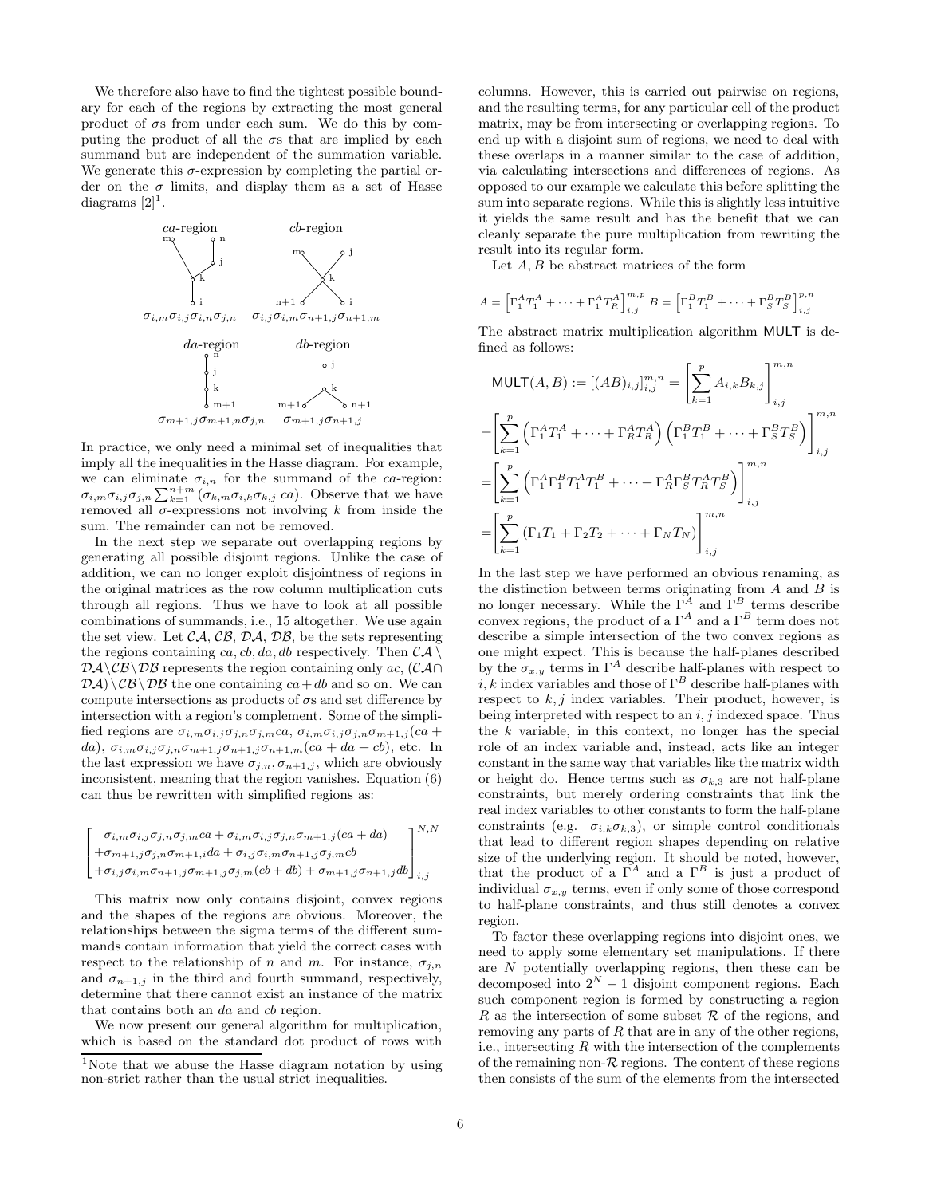We therefore also have to find the tightest possible boundary for each of the regions by extracting the most general product of  $\sigma s$  from under each sum. We do this by computing the product of all the  $\sigma s$  that are implied by each summand but are independent of the summation variable. We generate this  $\sigma$ -expression by completing the partial order on the  $\sigma$  limits, and display them as a set of Hasse diagrams  $[2]$ <sup>1</sup>.



In practice, we only need a minimal set of inequalities that imply all the inequalities in the Hasse diagram. For example, we can eliminate  $\sigma_{i,n}$  for the summand of the ca-region:  $\sigma_{i,m}\sigma_{i,j}\sigma_{j,n}\sum_{k=1}^{n+m}(\sigma_{k,m}\sigma_{i,k}\sigma_{k,j}ca)$ . Observe that we have removed all  $\sigma$ -expressions not involving k from inside the sum. The remainder can not be removed.

In the next step we separate out overlapping regions by generating all possible disjoint regions. Unlike the case of addition, we can no longer exploit disjointness of regions in the original matrices as the row column multiplication cuts through all regions. Thus we have to look at all possible combinations of summands, i.e., 15 altogether. We use again the set view. Let  $CA$ ,  $CB$ ,  $DA$ ,  $DB$ , be the sets representing the regions containing ca, cb, da, db respectively. Then  $CA \setminus$  $\mathcal{D}\mathcal{A}\setminus\mathcal{CB}\setminus\mathcal{DB}$  represents the region containing only ac,  $(\mathcal{C}\mathcal{A}\cap\mathcal{B})$  $\mathcal{D}A\setminus\mathcal{C}B\setminus\mathcal{D}B$  the one containing  $ca+db$  and so on. We can compute intersections as products of  $\sigma s$  and set difference by intersection with a region's complement. Some of the simplified regions are  $\sigma_{i,m}\sigma_{i,j}\sigma_{j,n}\sigma_{j,m}ca, \sigma_{i,m}\sigma_{i,j}\sigma_{j,n}\sigma_{m+1,j}(ca +$ da),  $\sigma_{i,m}\sigma_{i,j}\sigma_{j,n}\sigma_{m+1,j}\sigma_{n+1,j}\sigma_{n+1,m}(ca + da + cb)$ , etc. In the last expression we have  $\sigma_{j,n}, \sigma_{n+1,j}$ , which are obviously inconsistent, meaning that the region vanishes. Equation (6) can thus be rewritten with simplified regions as:

$$
\begin{bmatrix} \sigma_{i,m} \sigma_{i,j} \sigma_{j,n} \sigma_{j,m} c a + \sigma_{i,m} \sigma_{i,j} \sigma_{j,n} \sigma_{m+1,j} (c a + d a) \\ + \sigma_{m+1,j} \sigma_{j,n} \sigma_{m+1,i} d a + \sigma_{i,j} \sigma_{i,m} \sigma_{n+1,j} \sigma_{j,m} c b \\ + \sigma_{i,j} \sigma_{i,m} \sigma_{n+1,j} \sigma_{m+1,j} \sigma_{j,m} (c b + d b) + \sigma_{m+1,j} \sigma_{n+1,j} d b \end{bmatrix}_{i,j}^{N,N}
$$

This matrix now only contains disjoint, convex regions and the shapes of the regions are obvious. Moreover, the relationships between the sigma terms of the different summands contain information that yield the correct cases with respect to the relationship of n and m. For instance,  $\sigma_{j,n}$ and  $\sigma_{n+1,j}$  in the third and fourth summand, respectively, determine that there cannot exist an instance of the matrix that contains both an da and cb region.

We now present our general algorithm for multiplication, which is based on the standard dot product of rows with columns. However, this is carried out pairwise on regions, and the resulting terms, for any particular cell of the product matrix, may be from intersecting or overlapping regions. To end up with a disjoint sum of regions, we need to deal with these overlaps in a manner similar to the case of addition, via calculating intersections and differences of regions. As opposed to our example we calculate this before splitting the sum into separate regions. While this is slightly less intuitive it yields the same result and has the benefit that we can cleanly separate the pure multiplication from rewriting the result into its regular form.

Let  $A, B$  be abstract matrices of the form

$$
A = \left[ \Gamma_1^A T_1^A + \dots + \Gamma_1^A T_R^A \right]_{i,j}^{m,p} B = \left[ \Gamma_1^B T_1^B + \dots + \Gamma_S^B T_S^B \right]_{i,j}^{p,n}
$$

The abstract matrix multiplication algorithm MULT is defined as follows:

$$
\begin{split} &\text{MULT}(A, B) := [(AB)_{i,j}]_{i,j}^{m,n} = \left[\sum_{k=1}^{p} A_{i,k} B_{k,j}\right]_{i,j}^{m,n} \\ &= \left[\sum_{k=1}^{p} \left(\Gamma_1^A T_1^A + \dots + \Gamma_R^A T_R^A\right) \left(\Gamma_1^B T_1^B + \dots + \Gamma_S^B T_S^B\right)\right]_{i,j}^{m,n} \\ &= \left[\sum_{k=1}^{p} \left(\Gamma_1^A \Gamma_1^B T_1^A T_1^B + \dots + \Gamma_R^A \Gamma_S^B T_R^A T_S^B\right)\right]_{i,j}^{m,n} \\ &= \left[\sum_{k=1}^{p} \left(\Gamma_1 T_1 + \Gamma_2 T_2 + \dots + \Gamma_N T_N\right)\right]_{i,j}^{m,n} \end{split}
$$

In the last step we have performed an obvious renaming, as the distinction between terms originating from  $A$  and  $B$  is no longer necessary. While the  $\Gamma^A$  and  $\Gamma^B$  terms describe convex regions, the product of a  $\Gamma^A$  and a  $\Gamma^B$  term does not describe a simple intersection of the two convex regions as one might expect. This is because the half-planes described by the  $\sigma_{x,y}$  terms in  $\Gamma^A$  describe half-planes with respect to i, k index variables and those of  $\Gamma^B$  describe half-planes with respect to  $k, j$  index variables. Their product, however, is being interpreted with respect to an  $i, j$  indexed space. Thus the  $k$  variable, in this context, no longer has the special role of an index variable and, instead, acts like an integer constant in the same way that variables like the matrix width or height do. Hence terms such as  $\sigma_{k,3}$  are not half-plane constraints, but merely ordering constraints that link the real index variables to other constants to form the half-plane constraints (e.g.  $\sigma_{i,k}\sigma_{k,3}$ ), or simple control conditionals that lead to different region shapes depending on relative size of the underlying region. It should be noted, however, that the product of a  $\Gamma^A$  and a  $\Gamma^B$  is just a product of individual  $\sigma_{x,y}$  terms, even if only some of those correspond to half-plane constraints, and thus still denotes a convex region.

To factor these overlapping regions into disjoint ones, we need to apply some elementary set manipulations. If there are N potentially overlapping regions, then these can be decomposed into  $2^N - 1$  disjoint component regions. Each such component region is formed by constructing a region R as the intersection of some subset  $\mathcal R$  of the regions, and removing any parts of  $R$  that are in any of the other regions, i.e., intersecting  $R$  with the intersection of the complements of the remaining non- $R$  regions. The content of these regions then consists of the sum of the elements from the intersected

<sup>&</sup>lt;sup>1</sup>Note that we abuse the Hasse diagram notation by using non-strict rather than the usual strict inequalities.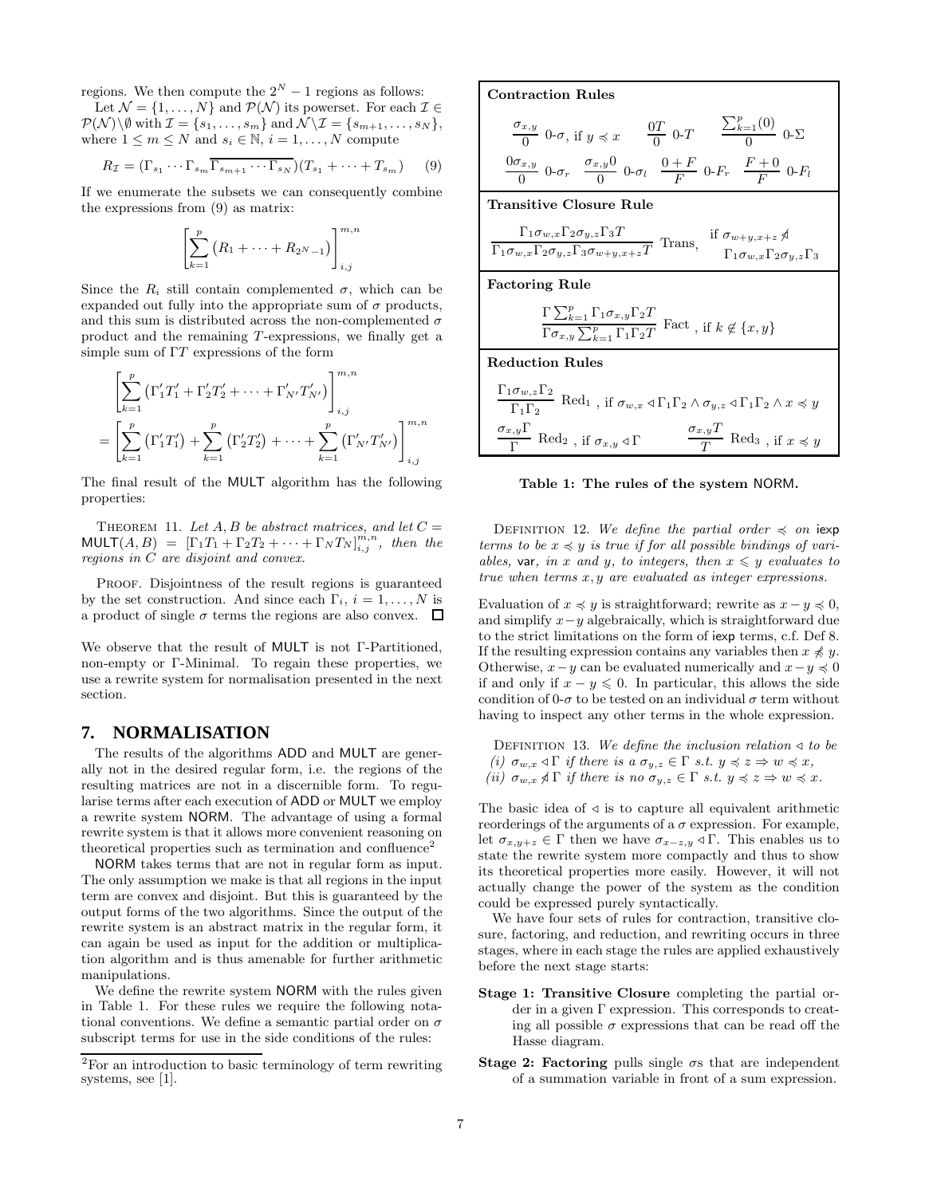regions. We then compute the  $2^N - 1$  regions as follows:

Let  $\mathcal{N} = \{1, \ldots, N\}$  and  $\mathcal{P}(\mathcal{N})$  its powerset. For each  $\mathcal{I} \in$  $\mathcal{P}(\mathcal{N})\backslash\emptyset$  with  $\mathcal{I} = \{s_1, \ldots, s_m\}$  and  $\mathcal{N}\backslash\mathcal{I} = \{s_{m+1}, \ldots, s_N\},$ where  $1 \leq m \leq N$  and  $s_i \in \mathbb{N}, i = 1, ..., N$  compute

$$
R_{\mathcal{I}} = (\Gamma_{s_1} \cdots \Gamma_{s_m} \overline{\Gamma_{s_{m+1}} \cdots \Gamma_{s_N}}) (T_{s_1} + \cdots + T_{s_m}) \qquad (9)
$$

If we enumerate the subsets we can consequently combine the expressions from (9) as matrix:

$$
\left[\sum_{k=1}^{p} \left(R_1 + \dots + R_{2^N - 1}\right)\right]_{i,j}^{m,n}
$$

Since the  $R_i$  still contain complemented  $\sigma$ , which can be expanded out fully into the appropriate sum of  $\sigma$  products, and this sum is distributed across the non-complemented  $\sigma$ product and the remaining T-expressions, we finally get a simple sum of  $\Gamma T$  expressions of the form

$$
\left[\sum_{k=1}^{p} \left(\Gamma'_{1}T'_{1} + \Gamma'_{2}T'_{2} + \cdots + \Gamma'_{N'}T'_{N'}\right)\right]_{i,j}^{m,n}
$$
\n
$$
= \left[\sum_{k=1}^{p} \left(\Gamma'_{1}T'_{1}\right) + \sum_{k=1}^{p} \left(\Gamma'_{2}T'_{2}\right) + \cdots + \sum_{k=1}^{p} \left(\Gamma'_{N'}T'_{N'}\right)\right]_{i,j}^{m,n}
$$

The final result of the MULT algorithm has the following properties:

THEOREM 11. Let A, B be abstract matrices, and let  $C =$  $\text{\tt MULT}(A, B) = [\Gamma_1 T_1 + \Gamma_2 T_2 + \cdots + \Gamma_N T_N]_{i,j}^{m,n}, \text{ then the }$ regions in C are disjoint and convex.

PROOF. Disjointness of the result regions is guaranteed by the set construction. And since each  $\Gamma_i$ ,  $i = 1, \ldots, N$  is a product of single  $\sigma$  terms the regions are also convex.  $\Box$ 

We observe that the result of MULT is not Γ-Partitioned, non-empty or Γ-Minimal. To regain these properties, we use a rewrite system for normalisation presented in the next section.

### **7. NORMALISATION**

The results of the algorithms ADD and MULT are generally not in the desired regular form, i.e. the regions of the resulting matrices are not in a discernible form. To regularise terms after each execution of ADD or MULT we employ a rewrite system NORM. The advantage of using a formal rewrite system is that it allows more convenient reasoning on theoretical properties such as termination and confluence<sup>2</sup>

NORM takes terms that are not in regular form as input. The only assumption we make is that all regions in the input term are convex and disjoint. But this is guaranteed by the output forms of the two algorithms. Since the output of the rewrite system is an abstract matrix in the regular form, it can again be used as input for the addition or multiplication algorithm and is thus amenable for further arithmetic manipulations.

We define the rewrite system NORM with the rules given in Table 1. For these rules we require the following notational conventions. We define a semantic partial order on  $\sigma$ subscript terms for use in the side conditions of the rules:

Contraction Rules  $\sigma_{x,y}$  $\frac{x,y}{0}$  0- $\sigma$ , if  $y \preccurlyeq x$   $\frac{0T}{0}$  $\frac{7}{0}$  0-T  $\sum_{k=1}^p (0)$  $\frac{-1}{0}$  0- $\Sigma$  $0\sigma_{x,y}$  $\frac{\sigma_{x,y}}{0}$  0- $\sigma_r$   $\frac{\sigma_{x,y}0}{0}$  $\frac{0}{0}$  0- $\sigma_l$   $\frac{0+F}{F}$  $\frac{F}{F}$  0- $F_r$   $\frac{F+0}{F}$  $\frac{1}{F}$  0- $F_l$ Transitive Closure Rule  $\Gamma_1\sigma_{w,x}\Gamma_2\sigma_{y,z}\Gamma_3T$  $\frac{\Gamma_1 \sigma_{w,x} \Gamma_2 \sigma_{y,z} \Gamma_3 T}{\Gamma_1 \sigma_{w,x} \Gamma_2 \sigma_{y,z} \Gamma_3 \sigma_{w+y,x+z} T}$  Trans,  $\frac{\text{if } \sigma_{w+y,x+z} \mathcal{A}}{\Gamma_1 \sigma_{w,x} \Gamma_2 \sigma_{w+z} T}$  $\Gamma_1\sigma_{w,x}\Gamma_2\sigma_{y,z}\Gamma_3$ Factoring Rule  $\Gamma \sum_{k=1}^{p} \Gamma_1 \sigma_{x,y} \Gamma_2 T$  $\frac{\sum_{k=1}^{n} \sum_{k=1}^{n} \Gamma_{1} \Gamma_{2} T}{\Gamma_{2} \Gamma_{1} \Gamma_{2} T}$  Fact, if  $k \notin \{x, y\}$ Reduction Rules  $\Gamma_1\sigma_{w,z}\Gamma_2$  $\frac{\Gamma_1 \Gamma_2}{\Gamma_1 \Gamma_2}$  Red<sub>1</sub>, if  $\sigma_{w,x} \triangleleft \Gamma_1 \Gamma_2 \wedge \sigma_{y,z} \triangleleft \Gamma_1 \Gamma_2 \wedge x \preccurlyeq y$  $\sigma_{x,y}\Gamma$  $\frac{\sigma_{x,y} \Gamma}{\Gamma}$  Red<sub>2</sub>, if  $\sigma_{x,y} \triangleleft \Gamma$   $\frac{\sigma_{x,y} T}{T}$ 

#### Table 1: The rules of the system NORM.

 $\frac{7y}{T}$  Red<sub>3</sub>, if  $x \preccurlyeq y$ 

DEFINITION 12. We define the partial order  $\preccurlyeq$  on iexp terms to be  $x \preccurlyeq y$  is true if for all possible bindings of variables, var, in x and y, to integers, then  $x \leq y$  evaluates to true when terms x, y are evaluated as integer expressions.

Evaluation of  $x \preccurlyeq y$  is straightforward; rewrite as  $x - y \preccurlyeq 0$ , and simplify  $x-y$  algebraically, which is straightforward due to the strict limitations on the form of iexp terms, c.f. Def 8. If the resulting expression contains any variables then  $x \nless y$ . Otherwise,  $x-y$  can be evaluated numerically and  $x-y \leq 0$ if and only if  $x - y \leq 0$ . In particular, this allows the side condition of 0- $\sigma$  to be tested on an individual  $\sigma$  term without having to inspect any other terms in the whole expression.

DEFINITION 13. We define the inclusion relation  $\triangleleft$  to be (i)  $\sigma_{w,x} \triangleleft \Gamma$  if there is a  $\sigma_{y,z} \in \Gamma$  s.t.  $y \preccurlyeq z \Rightarrow w \preccurlyeq x$ , (ii)  $\sigma_{w,x} \nless \Gamma$  if there is no  $\sigma_{y,z} \in \Gamma$  s.t.  $y \preccurlyeq z \Rightarrow w \preccurlyeq x$ .

The basic idea of  $\triangleleft$  is to capture all equivalent arithmetic reorderings of the arguments of a  $\sigma$  expression. For example, let  $\sigma_{x,y+z} \in \Gamma$  then we have  $\sigma_{x-z,y} \triangleleft \Gamma$ . This enables us to state the rewrite system more compactly and thus to show its theoretical properties more easily. However, it will not actually change the power of the system as the condition could be expressed purely syntactically.

We have four sets of rules for contraction, transitive closure, factoring, and reduction, and rewriting occurs in three stages, where in each stage the rules are applied exhaustively before the next stage starts:

- Stage 1: Transitive Closure completing the partial order in a given Γ expression. This corresponds to creating all possible  $\sigma$  expressions that can be read off the Hasse diagram.
- Stage 2: Factoring pulls single  $\sigma s$  that are independent of a summation variable in front of a sum expression.

<sup>2</sup>For an introduction to basic terminology of term rewriting systems, see [1].